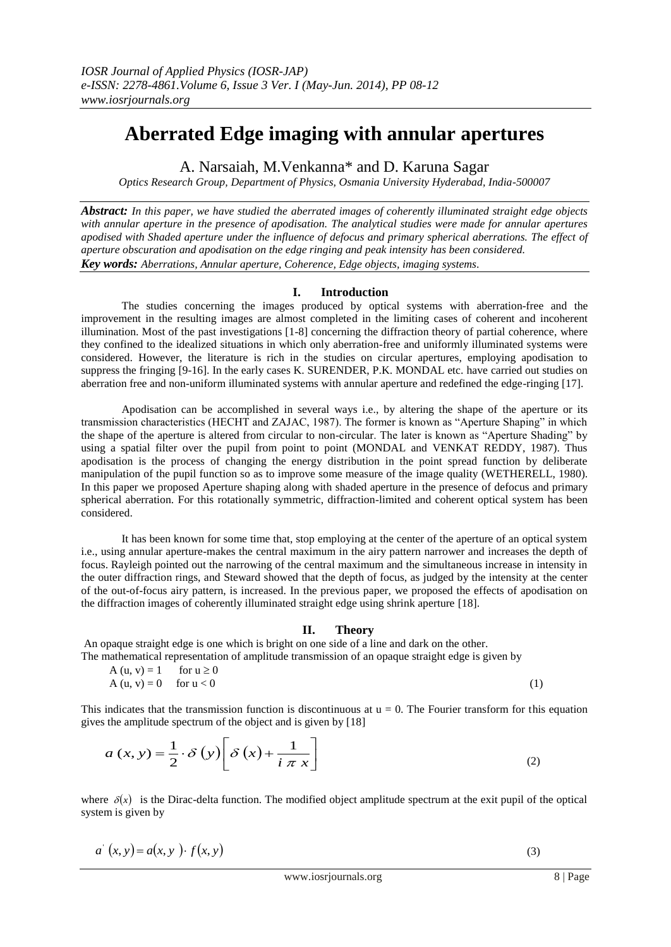# **Aberrated Edge imaging with annular apertures**

A. Narsaiah, M.Venkanna\* and D. Karuna Sagar

*Optics Research Group, Department of Physics, Osmania University Hyderabad, India-500007*

*Abstract: In this paper, we have studied the aberrated images of coherently illuminated straight edge objects with annular aperture in the presence of apodisation. The analytical studies were made for annular apertures apodised with Shaded aperture under the influence of defocus and primary spherical aberrations. The effect of aperture obscuration and apodisation on the edge ringing and peak intensity has been considered. Key words: Aberrations, Annular aperture, Coherence, Edge objects, imaging systems*.

# **I. Introduction**

The studies concerning the images produced by optical systems with aberration-free and the improvement in the resulting images are almost completed in the limiting cases of coherent and incoherent illumination. Most of the past investigations [1-8] concerning the diffraction theory of partial coherence, where they confined to the idealized situations in which only aberration-free and uniformly illuminated systems were considered. However, the literature is rich in the studies on circular apertures, employing apodisation to suppress the fringing [9-16]. In the early cases K. SURENDER, P.K. MONDAL etc. have carried out studies on aberration free and non-uniform illuminated systems with annular aperture and redefined the edge-ringing [17].

Apodisation can be accomplished in several ways i.e., by altering the shape of the aperture or its transmission characteristics (HECHT and ZAJAC, 1987). The former is known as "Aperture Shaping" in which the shape of the aperture is altered from circular to non-circular. The later is known as "Aperture Shading" by using a spatial filter over the pupil from point to point (MONDAL and VENKAT REDDY, 1987). Thus apodisation is the process of changing the energy distribution in the point spread function by deliberate manipulation of the pupil function so as to improve some measure of the image quality (WETHERELL, 1980). In this paper we proposed Aperture shaping along with shaded aperture in the presence of defocus and primary spherical aberration. For this rotationally symmetric, diffraction-limited and coherent optical system has been considered.

It has been known for some time that, stop employing at the center of the aperture of an optical system i.e., using annular aperture-makes the central maximum in the airy pattern narrower and increases the depth of focus. Rayleigh pointed out the narrowing of the central maximum and the simultaneous increase in intensity in the outer diffraction rings, and Steward showed that the depth of focus, as judged by the intensity at the center of the out-of-focus airy pattern, is increased. In the previous paper, we proposed the effects of apodisation on the diffraction images of coherently illuminated straight edge using shrink aperture [18].

# **II. Theory**

An opaque straight edge is one which is bright on one side of a line and dark on the other. The mathematical representation of amplitude transmission of an opaque straight edge is given by

$$
A(u, v) = 1 \quad \text{for } u \ge 0
$$
  
\n
$$
A(u, v) = 0 \quad \text{for } u < 0
$$
 (1)

This indicates that the transmission function is discontinuous at  $u = 0$ . The Fourier transform for this equation gives the amplitude spectrum of the object and is given by [18]

$$
a(x, y) = \frac{1}{2} \cdot \delta(y) \left[ \delta(x) + \frac{1}{i \pi x} \right]
$$
 (2)

where  $\delta(x)$  is the Dirac-delta function. The modified object amplitude spectrum at the exit pupil of the optical system is given by

$$
a^{(x,y)} = a(x, y) \cdot f(x, y) \tag{3}
$$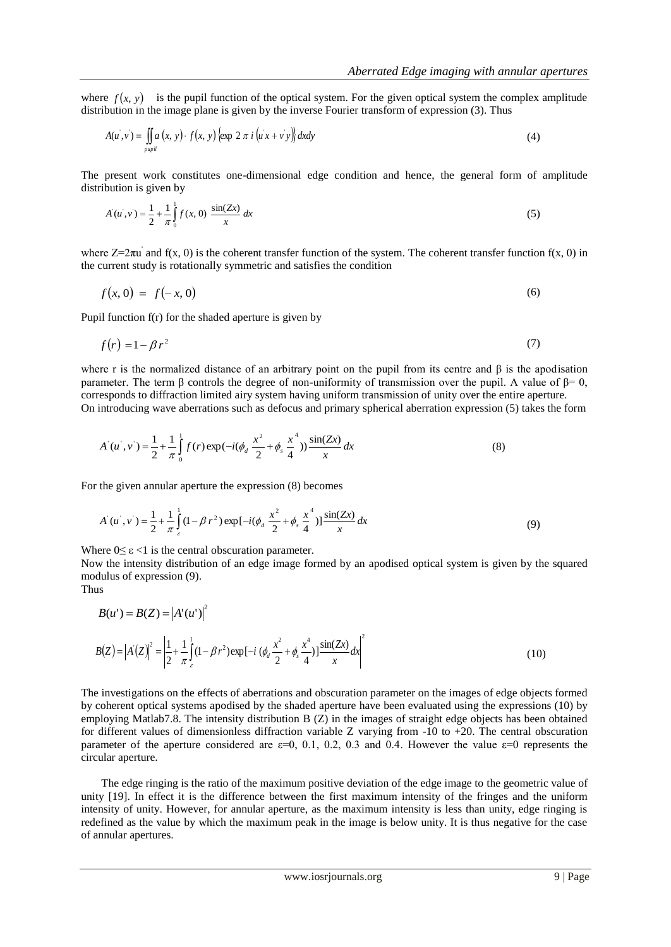where  $f(x, y)$  is the pupil function of the optical system. For the given optical system the complex amplitude distribution in the image plane is given by the inverse Fourier transform of expression (3). Thus

$$
A(u',v) = \iint_{pupil} a(x, y) \cdot f(x, y) \{ \exp 2 \pi i (u'x + v'y) \} dxdy \tag{4}
$$

The present work constitutes one-dimensional edge condition and hence, the general form of amplitude distribution is given by

$$
A(u, v) = \frac{1}{2} + \frac{1}{\pi} \int_0^1 f(x, 0) \frac{\sin(Zx)}{x} dx
$$
 (5)

where  $Z=2\pi u$  and f(x, 0) is the coherent transfer function of the system. The coherent transfer function f(x, 0) in the current study is rotationally symmetric and satisfies the condition

$$
f(x,0) = f(-x,0) \tag{6}
$$

Pupil function f(r) for the shaded aperture is given by

$$
f(r) = 1 - \beta r^2 \tag{7}
$$

where r is the normalized distance of an arbitrary point on the pupil from its centre and β is the apodisation parameter. The term β controls the degree of non-uniformity of transmission over the pupil. A value of  $\beta = 0$ , corresponds to diffraction limited airy system having uniform transmission of unity over the entire aperture. On introducing wave aberrations such as defocus and primary spherical aberration expression (5) takes the form

$$
A(u',v') = \frac{1}{2} + \frac{1}{\pi} \int_{0}^{1} f(r) \exp(-i(\phi_d \frac{x^2}{2} + \phi_s \frac{x^4}{4})) \frac{\sin(Zx)}{x} dx
$$
 (8)

For the given annular aperture the expression (8) becomes

$$
A(u^*, v^*) = \frac{1}{2} + \frac{1}{\pi} \int_{c}^{1} (1 - \beta r^2) \exp[-i(\phi_d \frac{x^2}{2} + \phi_s \frac{x^4}{4})] \frac{\sin(Zx)}{x} dx
$$
(9)

Where  $0 \le \varepsilon < 1$  is the central obscuration parameter.

Now the intensity distribution of an edge image formed by an apodised optical system is given by the squared modulus of expression (9).

Thus

$$
B(u') = B(Z) = |A'(u')|^2
$$
  
\n
$$
B(Z) = |A'(Z)|^2 = \left| \frac{1}{2} + \frac{1}{\pi} \int_{\varepsilon}^1 (1 - \beta r^2) \exp[-i (\phi_d \frac{x^2}{2} + \phi_s \frac{x^4}{4})] \frac{\sin(Zx)}{x} dx \right|^2
$$
\n(10)

The investigations on the effects of aberrations and obscuration parameter on the images of edge objects formed by coherent optical systems apodised by the shaded aperture have been evaluated using the expressions (10) by employing Matlab7.8. The intensity distribution B (Z) in the images of straight edge objects has been obtained for different values of dimensionless diffraction variable Z varying from  $-10$  to  $+20$ . The central obscuration parameter of the aperture considered are  $\varepsilon=0$ , 0.1, 0.2, 0.3 and 0.4. However the value  $\varepsilon=0$  represents the circular aperture.

The edge ringing is the ratio of the maximum positive deviation of the edge image to the geometric value of unity [19]. In effect it is the difference between the first maximum intensity of the fringes and the uniform intensity of unity. However, for annular aperture, as the maximum intensity is less than unity, edge ringing is redefined as the value by which the maximum peak in the image is below unity. It is thus negative for the case of annular apertures.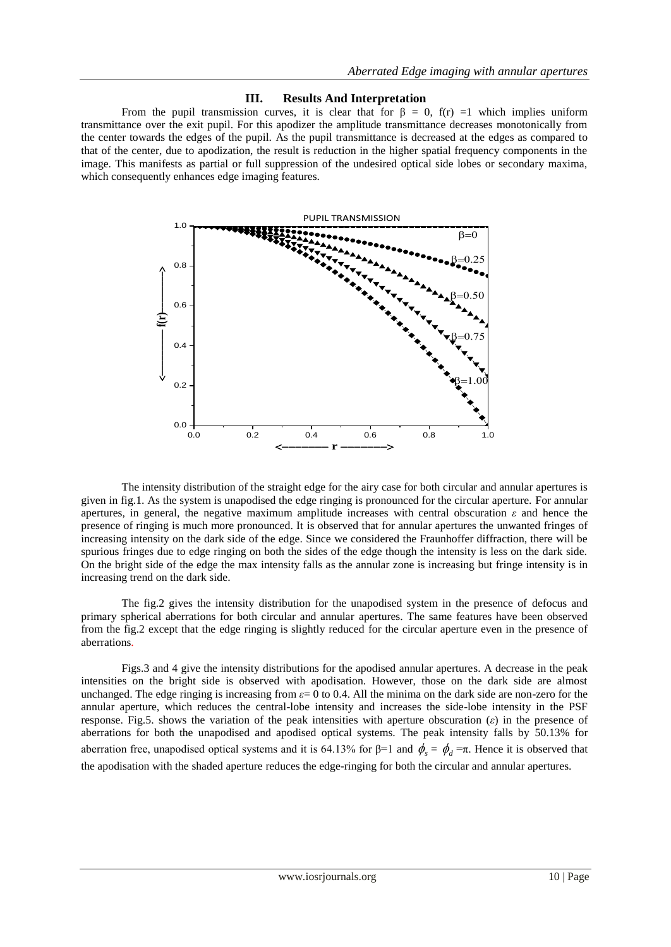#### **III. Results And Interpretation**

From the pupil transmission curves, it is clear that for  $\beta = 0$ ,  $f(r) = 1$  which implies uniform transmittance over the exit pupil. For this apodizer the amplitude transmittance decreases monotonically from the center towards the edges of the pupil. As the pupil transmittance is decreased at the edges as compared to that of the center, due to apodization, the result is reduction in the higher spatial frequency components in the image. This manifests as partial or full suppression of the undesired optical side lobes or secondary maxima, which consequently enhances edge imaging features.



The intensity distribution of the straight edge for the airy case for both circular and annular apertures is given in fig.1. As the system is unapodised the edge ringing is pronounced for the circular aperture. For annular apertures, in general, the negative maximum amplitude increases with central obscuration  $\varepsilon$  and hence the presence of ringing is much more pronounced. It is observed that for annular apertures the unwanted fringes of increasing intensity on the dark side of the edge. Since we considered the Fraunhoffer diffraction, there will be spurious fringes due to edge ringing on both the sides of the edge though the intensity is less on the dark side. On the bright side of the edge the max intensity falls as the annular zone is increasing but fringe intensity is in increasing trend on the dark side.

The fig.2 gives the intensity distribution for the unapodised system in the presence of defocus and primary spherical aberrations for both circular and annular apertures. The same features have been observed from the fig.2 except that the edge ringing is slightly reduced for the circular aperture even in the presence of aberrations.

Figs.3 and 4 give the intensity distributions for the apodised annular apertures. A decrease in the peak intensities on the bright side is observed with apodisation. However, those on the dark side are almost unchanged. The edge ringing is increasing from *ε*= 0 to 0.4. All the minima on the dark side are non-zero for the annular aperture, which reduces the central-lobe intensity and increases the side-lobe intensity in the PSF response. Fig.5. shows the variation of the peak intensities with aperture obscuration (*ε*) in the presence of aberrations for both the unapodised and apodised optical systems. The peak intensity falls by 50.13% for aberration free, unapodised optical systems and it is 64.13% for  $\beta=1$  and  $\phi_s = \phi_d = \pi$ . Hence it is observed that the apodisation with the shaded aperture reduces the edge-ringing for both the circular and annular apertures.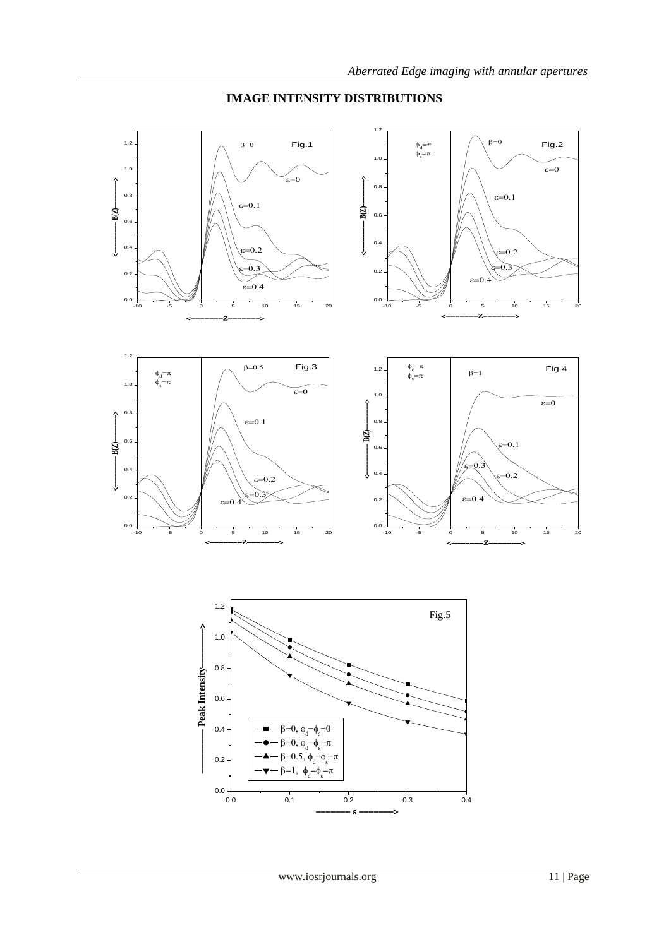

# **IMAGE INTENSITY DISTRIBUTIONS**